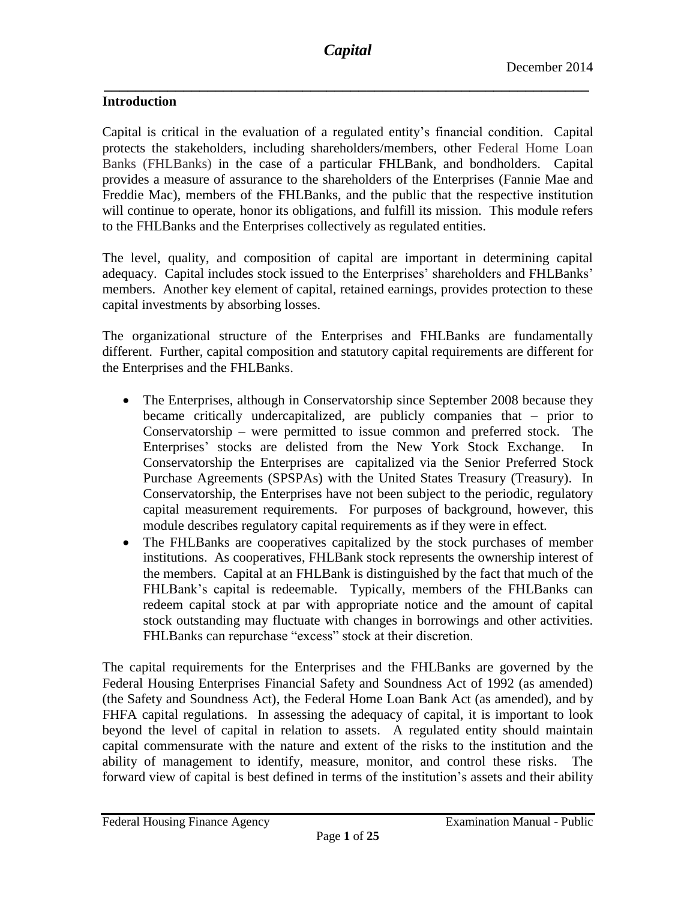## **Introduction**

Capital is critical in the evaluation of a regulated entity's financial condition. Capital protects the stakeholders, including shareholders/members, other Federal Home Loan Banks (FHLBanks) in the case of a particular FHLBank, and bondholders. Capital provides a measure of assurance to the shareholders of the Enterprises (Fannie Mae and Freddie Mac), members of the FHLBanks, and the public that the respective institution will continue to operate, honor its obligations, and fulfill its mission. This module refers to the FHLBanks and the Enterprises collectively as regulated entities.

The level, quality, and composition of capital are important in determining capital adequacy. Capital includes stock issued to the Enterprises' shareholders and FHLBanks' members. Another key element of capital, retained earnings, provides protection to these capital investments by absorbing losses.

The organizational structure of the Enterprises and FHLBanks are fundamentally different. Further, capital composition and statutory capital requirements are different for the Enterprises and the FHLBanks.

- The Enterprises, although in Conservatorship since September 2008 because they became critically undercapitalized, are publicly companies that – prior to Conservatorship – were permitted to issue common and preferred stock. The Enterprises' stocks are delisted from the New York Stock Exchange. In Conservatorship the Enterprises are capitalized via the Senior Preferred Stock Purchase Agreements (SPSPAs) with the United States Treasury (Treasury). In Conservatorship, the Enterprises have not been subject to the periodic, regulatory capital measurement requirements. For purposes of background, however, this module describes regulatory capital requirements as if they were in effect.
- The FHLBanks are cooperatives capitalized by the stock purchases of member institutions. As cooperatives, FHLBank stock represents the ownership interest of the members. Capital at an FHLBank is distinguished by the fact that much of the FHLBank's capital is redeemable. Typically, members of the FHLBanks can redeem capital stock at par with appropriate notice and the amount of capital stock outstanding may fluctuate with changes in borrowings and other activities. FHLBanks can repurchase "excess" stock at their discretion.

The capital requirements for the Enterprises and the FHLBanks are governed by the Federal Housing Enterprises Financial Safety and Soundness Act of 1992 (as amended) (the Safety and Soundness Act), the Federal Home Loan Bank Act (as amended), and by FHFA capital regulations. In assessing the adequacy of capital, it is important to look beyond the level of capital in relation to assets. A regulated entity should maintain capital commensurate with the nature and extent of the risks to the institution and the ability of management to identify, measure, monitor, and control these risks. The forward view of capital is best defined in terms of the institution's assets and their ability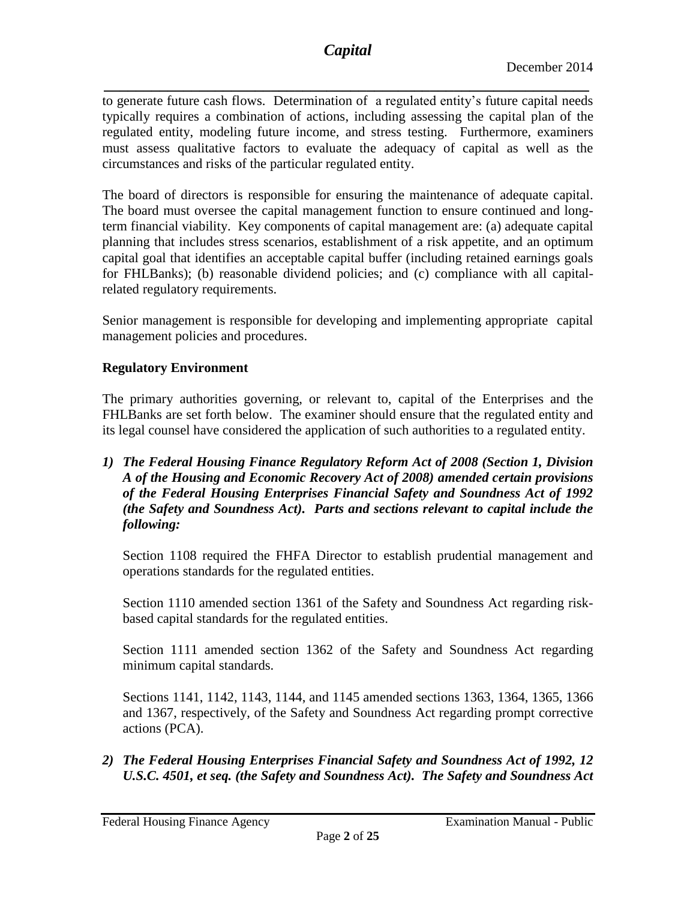*\_\_\_\_\_\_\_\_\_\_\_\_\_\_\_\_\_\_\_\_\_\_\_\_\_\_\_\_\_\_\_\_\_\_\_\_\_\_\_\_\_\_\_\_\_\_\_\_\_\_\_\_\_\_\_\_\_\_\_\_\_* to generate future cash flows. Determination of a regulated entity's future capital needs typically requires a combination of actions, including assessing the capital plan of the regulated entity, modeling future income, and stress testing. Furthermore, examiners must assess qualitative factors to evaluate the adequacy of capital as well as the circumstances and risks of the particular regulated entity.

The board of directors is responsible for ensuring the maintenance of adequate capital. The board must oversee the capital management function to ensure continued and longterm financial viability. Key components of capital management are: (a) adequate capital planning that includes stress scenarios, establishment of a risk appetite, and an optimum capital goal that identifies an acceptable capital buffer (including retained earnings goals for FHLBanks); (b) reasonable dividend policies; and (c) compliance with all capitalrelated regulatory requirements.

Senior management is responsible for developing and implementing appropriate capital management policies and procedures.

# **Regulatory Environment**

The primary authorities governing, or relevant to, capital of the Enterprises and the FHLBanks are set forth below. The examiner should ensure that the regulated entity and its legal counsel have considered the application of such authorities to a regulated entity.

*1) The Federal Housing Finance Regulatory Reform Act of 2008 (Section 1, Division A of the Housing and Economic Recovery Act of 2008) amended certain provisions of the Federal Housing Enterprises Financial Safety and Soundness Act of 1992 (the Safety and Soundness Act). Parts and sections relevant to capital include the following:*

Section 1108 required the FHFA Director to establish prudential management and operations standards for the regulated entities.

Section 1110 amended section 1361 of the Safety and Soundness Act regarding riskbased capital standards for the regulated entities.

Section 1111 amended section 1362 of the Safety and Soundness Act regarding minimum capital standards.

Sections 1141, 1142, 1143, 1144, and 1145 amended sections 1363, 1364, 1365, 1366 and 1367, respectively, of the Safety and Soundness Act regarding prompt corrective actions (PCA).

*2) The Federal Housing Enterprises Financial Safety and Soundness Act of 1992, 12 U.S.C. 4501, et seq. (the Safety and Soundness Act). The Safety and Soundness Act*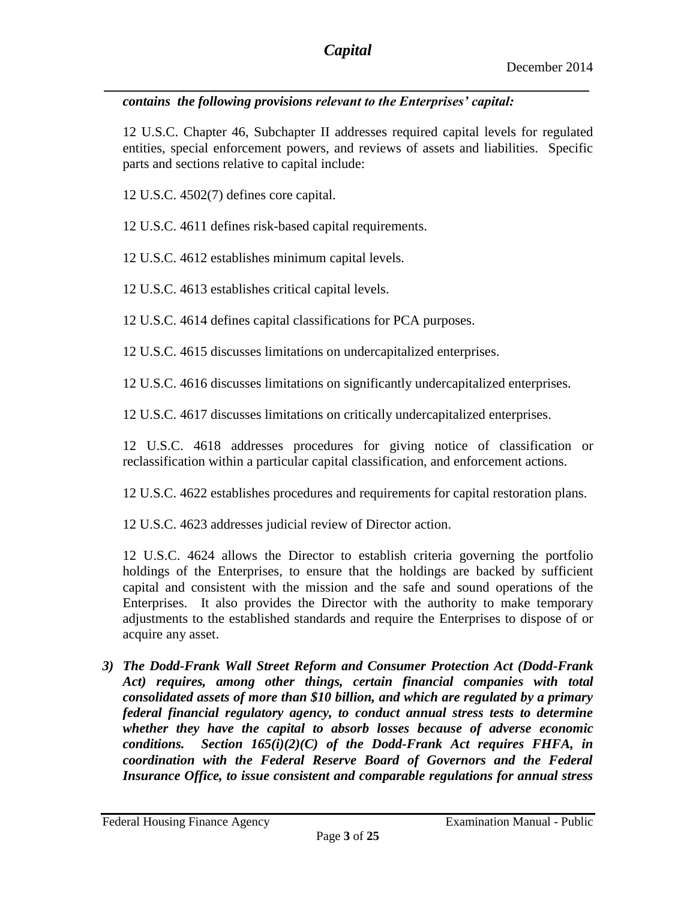## *contains the following provisions relevant to the Enterprises' capital:*

12 U.S.C. Chapter 46, Subchapter II addresses required capital levels for regulated entities, special enforcement powers, and reviews of assets and liabilities. Specific parts and sections relative to capital include:

12 U.S.C. 4502(7) defines core capital.

12 U.S.C. 4611 defines risk-based capital requirements.

12 U.S.C. 4612 establishes minimum capital levels.

12 U.S.C. 4613 establishes critical capital levels.

12 U.S.C. 4614 defines capital classifications for PCA purposes.

12 U.S.C. 4615 discusses limitations on undercapitalized enterprises.

12 U.S.C. 4616 discusses limitations on significantly undercapitalized enterprises.

12 U.S.C. 4617 discusses limitations on critically undercapitalized enterprises.

12 U.S.C. 4618 addresses procedures for giving notice of classification or reclassification within a particular capital classification, and enforcement actions.

12 U.S.C. 4622 establishes procedures and requirements for capital restoration plans.

12 U.S.C. 4623 addresses judicial review of Director action.

12 U.S.C. 4624 allows the Director to establish criteria governing the portfolio holdings of the Enterprises, to ensure that the holdings are backed by sufficient capital and consistent with the mission and the safe and sound operations of the Enterprises. It also provides the Director with the authority to make temporary adjustments to the established standards and require the Enterprises to dispose of or acquire any asset.

*3) The Dodd-Frank Wall Street Reform and Consumer Protection Act (Dodd-Frank Act) requires, among other things, certain financial companies with total consolidated assets of more than \$10 billion, and which are regulated by a primary federal financial regulatory agency, to conduct annual stress tests to determine whether they have the capital to absorb losses because of adverse economic conditions. Section 165(i)(2)(C) of the Dodd-Frank Act requires FHFA, in coordination with the Federal Reserve Board of Governors and the Federal Insurance Office, to issue consistent and comparable regulations for annual stress*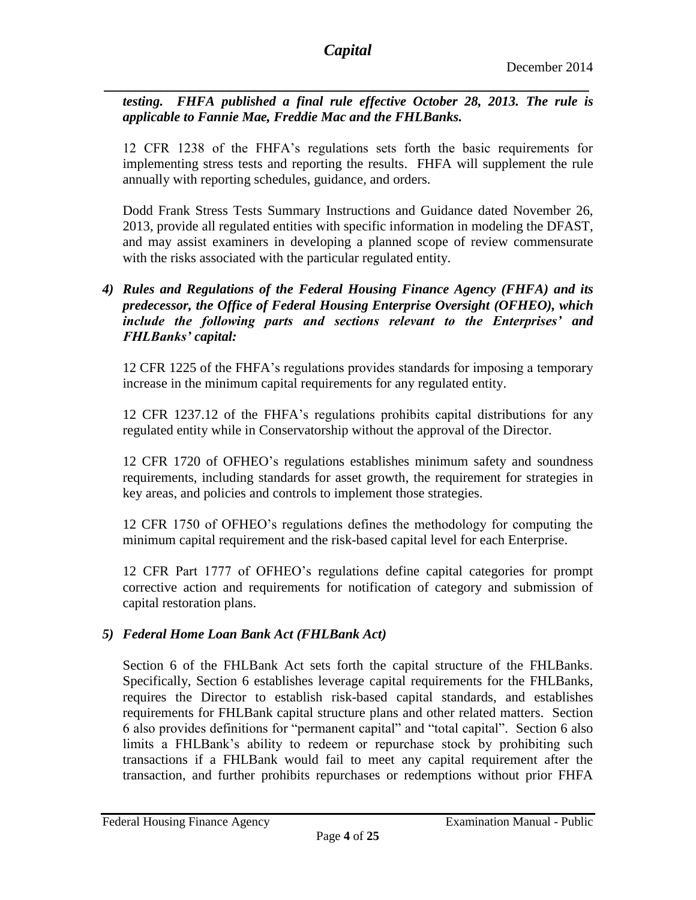*\_\_\_\_\_\_\_\_\_\_\_\_\_\_\_\_\_\_\_\_\_\_\_\_\_\_\_\_\_\_\_\_\_\_\_\_\_\_\_\_\_\_\_\_\_\_\_\_\_\_\_\_\_\_\_\_\_\_\_\_\_ testing. FHFA published a final rule effective October 28, 2013. The rule is applicable to Fannie Mae, Freddie Mac and the FHLBanks.*

12 CFR 1238 of the FHFA's regulations sets forth the basic requirements for implementing stress tests and reporting the results. FHFA will supplement the rule annually with reporting schedules, guidance, and orders.

Dodd Frank Stress Tests Summary Instructions and Guidance dated November 26, 2013, provide all regulated entities with specific information in modeling the DFAST, and may assist examiners in developing a planned scope of review commensurate with the risks associated with the particular regulated entity.

## *4) Rules and Regulations of the Federal Housing Finance Agency (FHFA) and its predecessor, the Office of Federal Housing Enterprise Oversight (OFHEO), which include the following parts and sections relevant to the Enterprises' and FHLBanks' capital:*

12 CFR 1225 of the FHFA's regulations provides standards for imposing a temporary increase in the minimum capital requirements for any regulated entity.

12 CFR 1237.12 of the FHFA's regulations prohibits capital distributions for any regulated entity while in Conservatorship without the approval of the Director.

12 CFR 1720 of OFHEO's regulations establishes minimum safety and soundness requirements, including standards for asset growth, the requirement for strategies in key areas, and policies and controls to implement those strategies.

12 CFR 1750 of OFHEO's regulations defines the methodology for computing the minimum capital requirement and the risk-based capital level for each Enterprise.

12 CFR Part 1777 of OFHEO's regulations define capital categories for prompt corrective action and requirements for notification of category and submission of capital restoration plans.

# *5) Federal Home Loan Bank Act (FHLBank Act)*

Section 6 of the FHLBank Act sets forth the capital structure of the FHLBanks. Specifically, Section 6 establishes leverage capital requirements for the FHLBanks, requires the Director to establish risk-based capital standards, and establishes requirements for FHLBank capital structure plans and other related matters. Section 6 also provides definitions for "permanent capital" and "total capital". Section 6 also limits a FHLBank's ability to redeem or repurchase stock by prohibiting such transactions if a FHLBank would fail to meet any capital requirement after the transaction, and further prohibits repurchases or redemptions without prior FHFA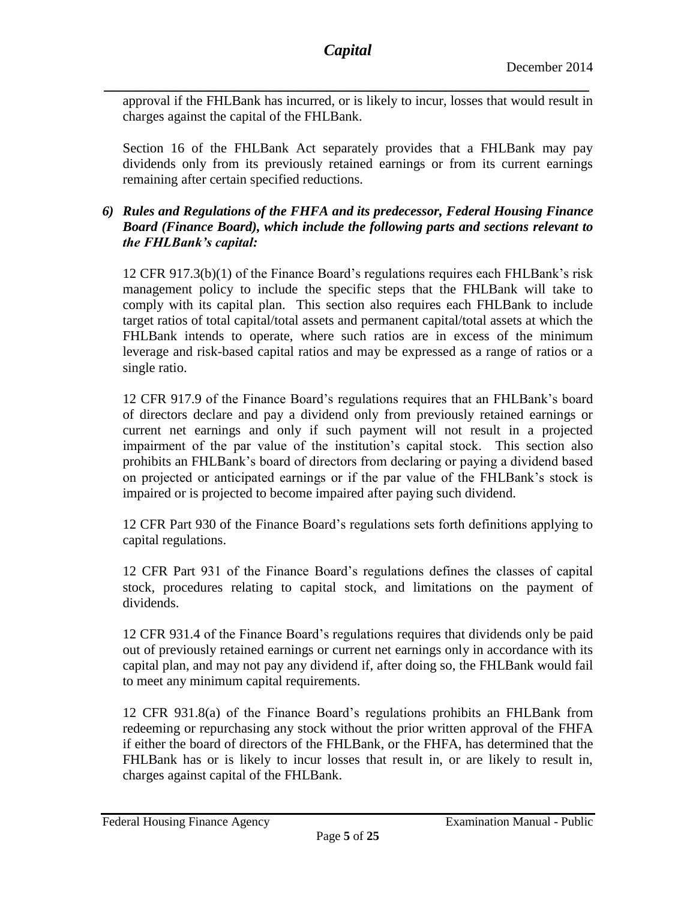approval if the FHLBank has incurred, or is likely to incur, losses that would result in charges against the capital of the FHLBank.

Section 16 of the FHLBank Act separately provides that a FHLBank may pay dividends only from its previously retained earnings or from its current earnings remaining after certain specified reductions.

## *6) Rules and Regulations of the FHFA and its predecessor, Federal Housing Finance Board (Finance Board), which include the following parts and sections relevant to the FHLBank's capital:*

12 CFR 917.3(b)(1) of the Finance Board's regulations requires each FHLBank's risk management policy to include the specific steps that the FHLBank will take to comply with its capital plan. This section also requires each FHLBank to include target ratios of total capital/total assets and permanent capital/total assets at which the FHLBank intends to operate, where such ratios are in excess of the minimum leverage and risk-based capital ratios and may be expressed as a range of ratios or a single ratio.

12 CFR 917.9 of the Finance Board's regulations requires that an FHLBank's board of directors declare and pay a dividend only from previously retained earnings or current net earnings and only if such payment will not result in a projected impairment of the par value of the institution's capital stock. This section also prohibits an FHLBank's board of directors from declaring or paying a dividend based on projected or anticipated earnings or if the par value of the FHLBank's stock is impaired or is projected to become impaired after paying such dividend.

12 CFR Part 930 of the Finance Board's regulations sets forth definitions applying to capital regulations.

12 CFR Part 931 of the Finance Board's regulations defines the classes of capital stock, procedures relating to capital stock, and limitations on the payment of dividends.

12 CFR 931.4 of the Finance Board's regulations requires that dividends only be paid out of previously retained earnings or current net earnings only in accordance with its capital plan, and may not pay any dividend if, after doing so, the FHLBank would fail to meet any minimum capital requirements.

12 CFR 931.8(a) of the Finance Board's regulations prohibits an FHLBank from redeeming or repurchasing any stock without the prior written approval of the FHFA if either the board of directors of the FHLBank, or the FHFA, has determined that the FHLBank has or is likely to incur losses that result in, or are likely to result in, charges against capital of the FHLBank.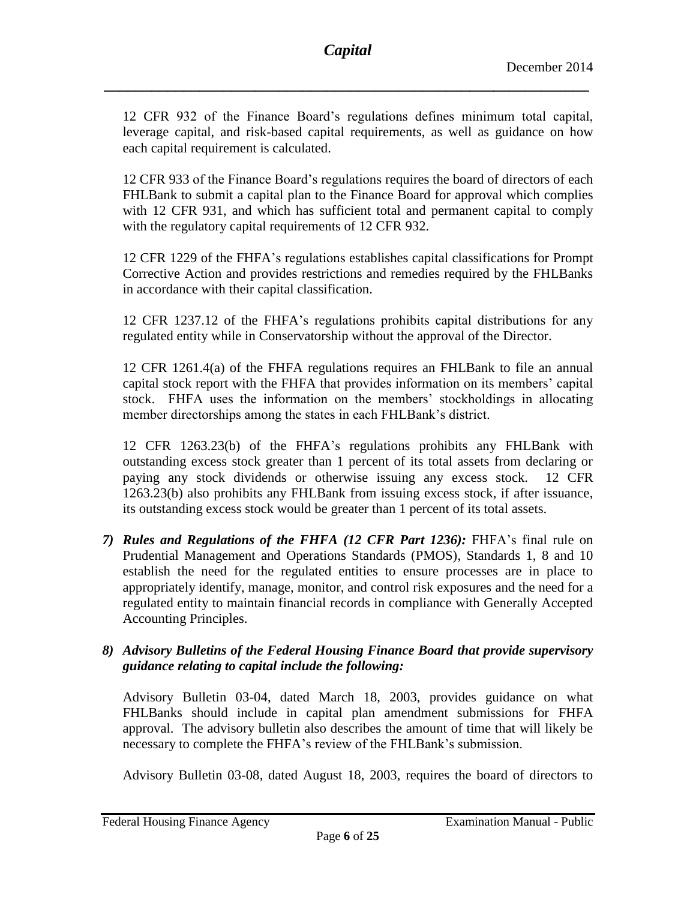12 CFR 932 of the Finance Board's regulations defines minimum total capital, leverage capital, and risk-based capital requirements, as well as guidance on how each capital requirement is calculated.

12 CFR 933 of the Finance Board's regulations requires the board of directors of each FHLBank to submit a capital plan to the Finance Board for approval which complies with 12 CFR 931, and which has sufficient total and permanent capital to comply with the regulatory capital requirements of 12 CFR 932.

12 CFR 1229 of the FHFA's regulations establishes capital classifications for Prompt Corrective Action and provides restrictions and remedies required by the FHLBanks in accordance with their capital classification.

12 CFR 1237.12 of the FHFA's regulations prohibits capital distributions for any regulated entity while in Conservatorship without the approval of the Director.

12 CFR 1261.4(a) of the FHFA regulations requires an FHLBank to file an annual capital stock report with the FHFA that provides information on its members' capital stock. FHFA uses the information on the members' stockholdings in allocating member directorships among the states in each FHLBank's district.

12 CFR 1263.23(b) of the FHFA's regulations prohibits any FHLBank with outstanding excess stock greater than 1 percent of its total assets from declaring or paying any stock dividends or otherwise issuing any excess stock. 12 CFR 1263.23(b) also prohibits any FHLBank from issuing excess stock, if after issuance, its outstanding excess stock would be greater than 1 percent of its total assets.

*7) Rules and Regulations of the FHFA (12 CFR Part 1236):* FHFA's final rule on Prudential Management and Operations Standards (PMOS), Standards 1, 8 and 10 establish the need for the regulated entities to ensure processes are in place to appropriately identify, manage, monitor, and control risk exposures and the need for a regulated entity to maintain financial records in compliance with Generally Accepted Accounting Principles.

## *8) Advisory Bulletins of the Federal Housing Finance Board that provide supervisory guidance relating to capital include the following:*

Advisory Bulletin 03-04, dated March 18, 2003, provides guidance on what FHLBanks should include in capital plan amendment submissions for FHFA approval. The advisory bulletin also describes the amount of time that will likely be necessary to complete the FHFA's review of the FHLBank's submission.

Advisory Bulletin 03-08, dated August 18, 2003, requires the board of directors to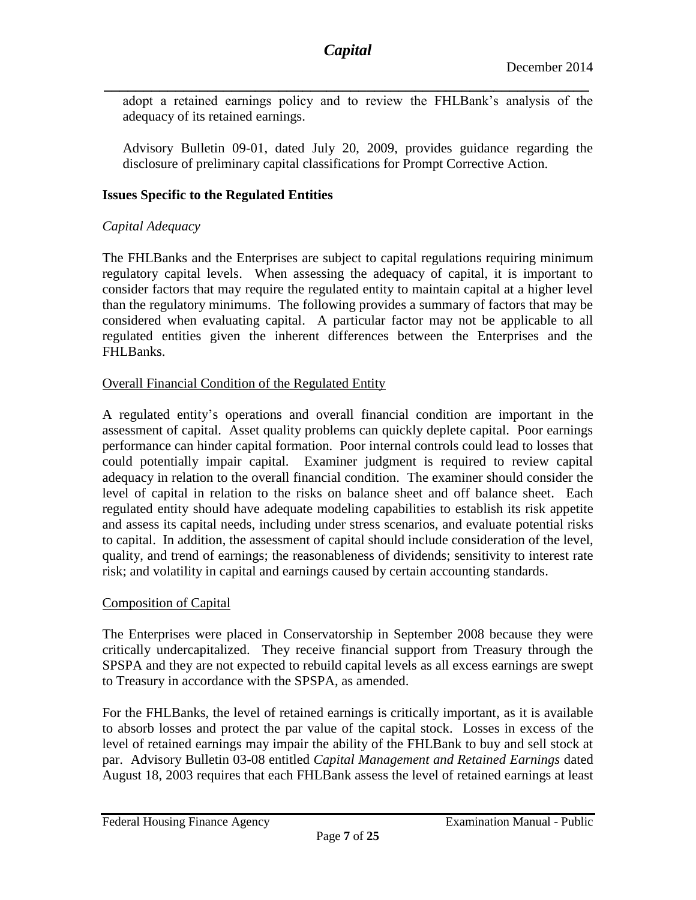adopt a retained earnings policy and to review the FHLBank's analysis of the adequacy of its retained earnings.

Advisory Bulletin 09-01, dated July 20, 2009, provides guidance regarding the disclosure of preliminary capital classifications for Prompt Corrective Action.

#### **Issues Specific to the Regulated Entities**

#### *Capital Adequacy*

The FHLBanks and the Enterprises are subject to capital regulations requiring minimum regulatory capital levels. When assessing the adequacy of capital, it is important to consider factors that may require the regulated entity to maintain capital at a higher level than the regulatory minimums. The following provides a summary of factors that may be considered when evaluating capital. A particular factor may not be applicable to all regulated entities given the inherent differences between the Enterprises and the FHLBanks.

#### Overall Financial Condition of the Regulated Entity

A regulated entity's operations and overall financial condition are important in the assessment of capital. Asset quality problems can quickly deplete capital. Poor earnings performance can hinder capital formation. Poor internal controls could lead to losses that could potentially impair capital. Examiner judgment is required to review capital adequacy in relation to the overall financial condition. The examiner should consider the level of capital in relation to the risks on balance sheet and off balance sheet. Each regulated entity should have adequate modeling capabilities to establish its risk appetite and assess its capital needs, including under stress scenarios, and evaluate potential risks to capital. In addition, the assessment of capital should include consideration of the level, quality, and trend of earnings; the reasonableness of dividends; sensitivity to interest rate risk; and volatility in capital and earnings caused by certain accounting standards.

#### Composition of Capital

The Enterprises were placed in Conservatorship in September 2008 because they were critically undercapitalized. They receive financial support from Treasury through the SPSPA and they are not expected to rebuild capital levels as all excess earnings are swept to Treasury in accordance with the SPSPA, as amended.

For the FHLBanks, the level of retained earnings is critically important, as it is available to absorb losses and protect the par value of the capital stock. Losses in excess of the level of retained earnings may impair the ability of the FHLBank to buy and sell stock at par. Advisory Bulletin 03-08 entitled *Capital Management and Retained Earnings* dated August 18, 2003 requires that each FHLBank assess the level of retained earnings at least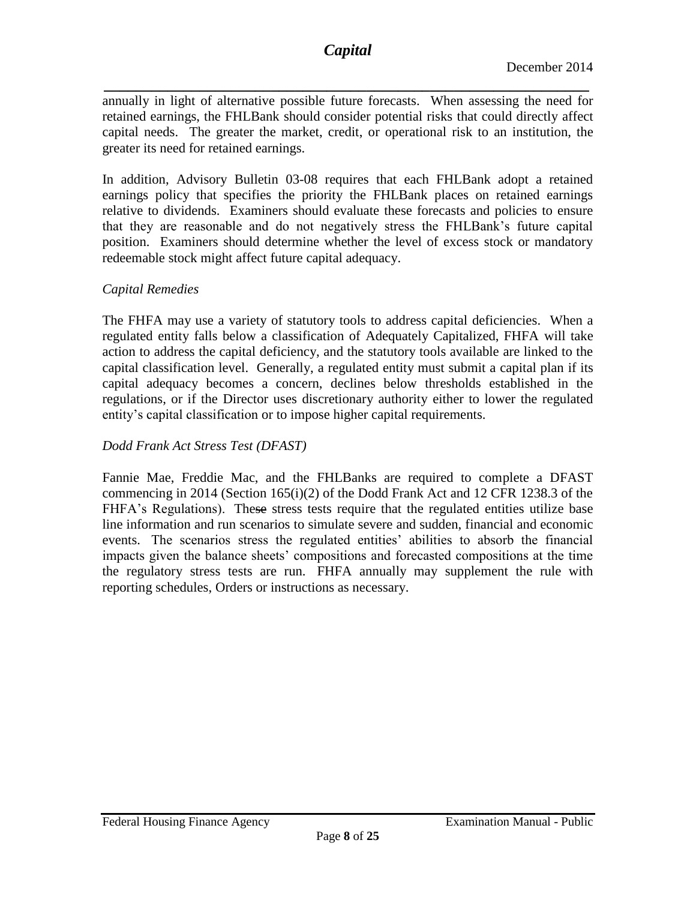*\_\_\_\_\_\_\_\_\_\_\_\_\_\_\_\_\_\_\_\_\_\_\_\_\_\_\_\_\_\_\_\_\_\_\_\_\_\_\_\_\_\_\_\_\_\_\_\_\_\_\_\_\_\_\_\_\_\_\_\_\_* annually in light of alternative possible future forecasts. When assessing the need for retained earnings, the FHLBank should consider potential risks that could directly affect capital needs. The greater the market, credit, or operational risk to an institution, the greater its need for retained earnings.

In addition, Advisory Bulletin 03-08 requires that each FHLBank adopt a retained earnings policy that specifies the priority the FHLBank places on retained earnings relative to dividends. Examiners should evaluate these forecasts and policies to ensure that they are reasonable and do not negatively stress the FHLBank's future capital position. Examiners should determine whether the level of excess stock or mandatory redeemable stock might affect future capital adequacy.

## *Capital Remedies*

The FHFA may use a variety of statutory tools to address capital deficiencies. When a regulated entity falls below a classification of Adequately Capitalized, FHFA will take action to address the capital deficiency, and the statutory tools available are linked to the capital classification level. Generally, a regulated entity must submit a capital plan if its capital adequacy becomes a concern, declines below thresholds established in the regulations, or if the Director uses discretionary authority either to lower the regulated entity's capital classification or to impose higher capital requirements.

# *Dodd Frank Act Stress Test (DFAST)*

Fannie Mae, Freddie Mac, and the FHLBanks are required to complete a DFAST commencing in 2014 (Section 165(i)(2) of the Dodd Frank Act and 12 CFR 1238.3 of the FHFA's Regulations). These stress tests require that the regulated entities utilize base line information and run scenarios to simulate severe and sudden, financial and economic events. The scenarios stress the regulated entities' abilities to absorb the financial impacts given the balance sheets' compositions and forecasted compositions at the time the regulatory stress tests are run. FHFA annually may supplement the rule with reporting schedules, Orders or instructions as necessary.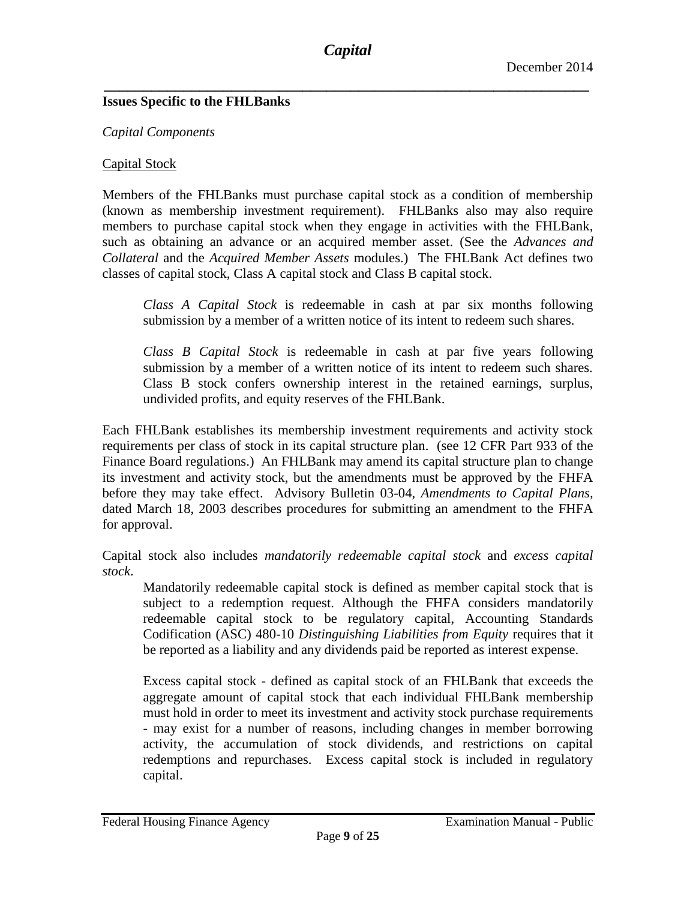## **Issues Specific to the FHLBanks**

### *Capital Components*

## Capital Stock

Members of the FHLBanks must purchase capital stock as a condition of membership (known as membership investment requirement). FHLBanks also may also require members to purchase capital stock when they engage in activities with the FHLBank, such as obtaining an advance or an acquired member asset. (See the *Advances and Collateral* and the *Acquired Member Assets* modules.) The FHLBank Act defines two classes of capital stock, Class A capital stock and Class B capital stock.

*Class A Capital Stock* is redeemable in cash at par six months following submission by a member of a written notice of its intent to redeem such shares.

*Class B Capital Stock* is redeemable in cash at par five years following submission by a member of a written notice of its intent to redeem such shares. Class B stock confers ownership interest in the retained earnings, surplus, undivided profits, and equity reserves of the FHLBank.

Each FHLBank establishes its membership investment requirements and activity stock requirements per class of stock in its capital structure plan. (see 12 CFR Part 933 of the Finance Board regulations.) An FHLBank may amend its capital structure plan to change its investment and activity stock, but the amendments must be approved by the FHFA before they may take effect. Advisory Bulletin 03-04, *Amendments to Capital Plans,* dated March 18, 2003 describes procedures for submitting an amendment to the FHFA for approval.

Capital stock also includes *mandatorily redeemable capital stock* and *excess capital stock*.

Mandatorily redeemable capital stock is defined as member capital stock that is subject to a redemption request. Although the FHFA considers mandatorily redeemable capital stock to be regulatory capital, Accounting Standards Codification (ASC) 480-10 *Distinguishing Liabilities from Equity* requires that it be reported as a liability and any dividends paid be reported as interest expense.

Excess capital stock - defined as capital stock of an FHLBank that exceeds the aggregate amount of capital stock that each individual FHLBank membership must hold in order to meet its investment and activity stock purchase requirements - may exist for a number of reasons, including changes in member borrowing activity, the accumulation of stock dividends, and restrictions on capital redemptions and repurchases. Excess capital stock is included in regulatory capital.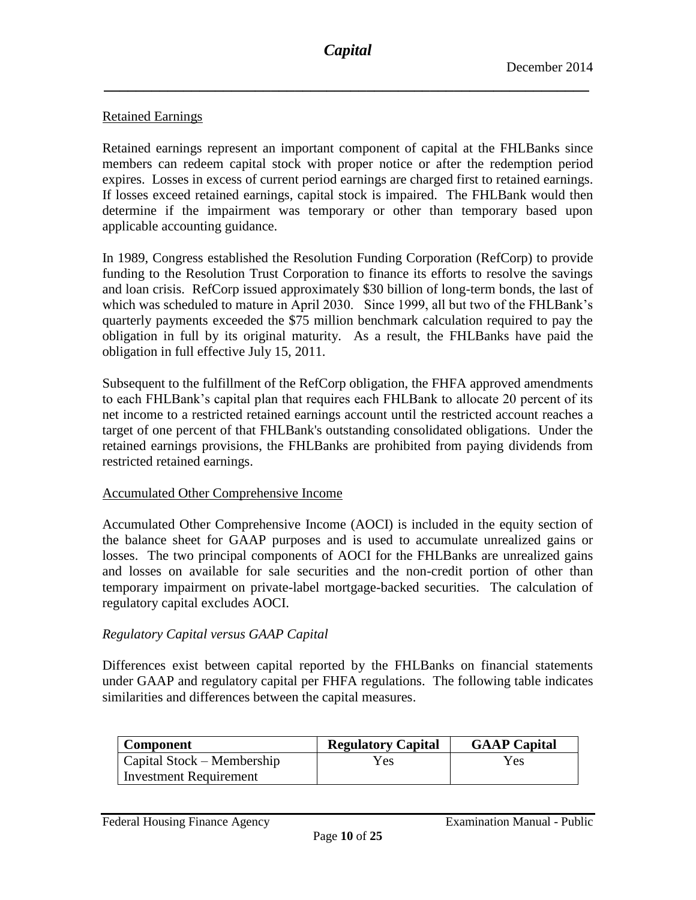## Retained Earnings

Retained earnings represent an important component of capital at the FHLBanks since members can redeem capital stock with proper notice or after the redemption period expires. Losses in excess of current period earnings are charged first to retained earnings. If losses exceed retained earnings, capital stock is impaired. The FHLBank would then determine if the impairment was temporary or other than temporary based upon applicable accounting guidance.

In 1989, Congress established the Resolution Funding Corporation (RefCorp) to provide funding to the Resolution Trust Corporation to finance its efforts to resolve the savings and loan crisis. RefCorp issued approximately \$30 billion of long-term bonds, the last of which was scheduled to mature in April 2030. Since 1999, all but two of the FHLBank's quarterly payments exceeded the \$75 million benchmark calculation required to pay the obligation in full by its original maturity. As a result, the FHLBanks have paid the obligation in full effective July 15, 2011.

Subsequent to the fulfillment of the RefCorp obligation, the FHFA approved amendments to each FHLBank's capital plan that requires each FHLBank to allocate 20 percent of its net income to a restricted retained earnings account until the restricted account reaches a target of one percent of that FHLBank's outstanding consolidated obligations. Under the retained earnings provisions, the FHLBanks are prohibited from paying dividends from restricted retained earnings.

#### Accumulated Other Comprehensive Income

Accumulated Other Comprehensive Income (AOCI) is included in the equity section of the balance sheet for GAAP purposes and is used to accumulate unrealized gains or losses. The two principal components of AOCI for the FHLBanks are unrealized gains and losses on available for sale securities and the non-credit portion of other than temporary impairment on private-label mortgage-backed securities. The calculation of regulatory capital excludes AOCI.

#### *Regulatory Capital versus GAAP Capital*

Differences exist between capital reported by the FHLBanks on financial statements under GAAP and regulatory capital per FHFA regulations. The following table indicates similarities and differences between the capital measures.

| <b>Component</b>              | <b>Regulatory Capital</b> | <b>GAAP Capital</b> |
|-------------------------------|---------------------------|---------------------|
| Capital Stock – Membership    | Yes                       | Yes                 |
| <b>Investment Requirement</b> |                           |                     |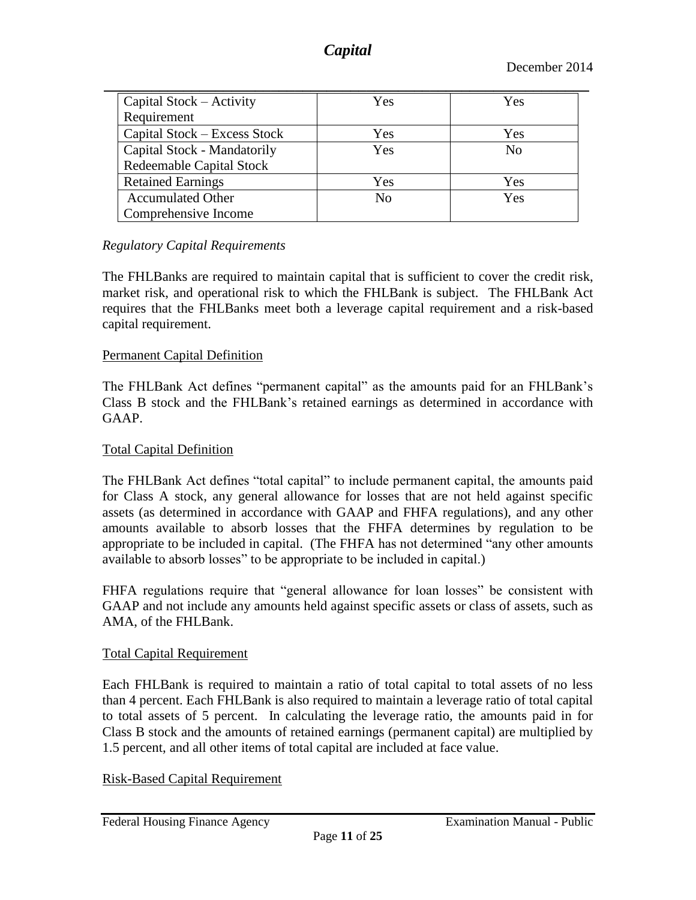| Capital Stock - Activity     | Yes            | Yes            |
|------------------------------|----------------|----------------|
| Requirement                  |                |                |
| Capital Stock - Excess Stock | Yes            | Yes            |
| Capital Stock - Mandatorily  | Yes            | N <sub>0</sub> |
| Redeemable Capital Stock     |                |                |
| <b>Retained Earnings</b>     | Yes            | <b>Yes</b>     |
| <b>Accumulated Other</b>     | N <sub>0</sub> | <b>Yes</b>     |
| Comprehensive Income         |                |                |

## *Regulatory Capital Requirements*

The FHLBanks are required to maintain capital that is sufficient to cover the credit risk, market risk, and operational risk to which the FHLBank is subject. The FHLBank Act requires that the FHLBanks meet both a leverage capital requirement and a risk-based capital requirement.

## Permanent Capital Definition

The FHLBank Act defines "permanent capital" as the amounts paid for an FHLBank's Class B stock and the FHLBank's retained earnings as determined in accordance with GAAP.

### Total Capital Definition

The FHLBank Act defines "total capital" to include permanent capital, the amounts paid for Class A stock, any general allowance for losses that are not held against specific assets (as determined in accordance with GAAP and FHFA regulations), and any other amounts available to absorb losses that the FHFA determines by regulation to be appropriate to be included in capital. (The FHFA has not determined "any other amounts available to absorb losses" to be appropriate to be included in capital.)

FHFA regulations require that "general allowance for loan losses" be consistent with GAAP and not include any amounts held against specific assets or class of assets, such as AMA, of the FHLBank.

#### Total Capital Requirement

Each FHLBank is required to maintain a ratio of total capital to total assets of no less than 4 percent. Each FHLBank is also required to maintain a leverage ratio of total capital to total assets of 5 percent. In calculating the leverage ratio, the amounts paid in for Class B stock and the amounts of retained earnings (permanent capital) are multiplied by 1.5 percent, and all other items of total capital are included at face value.

Risk-Based Capital Requirement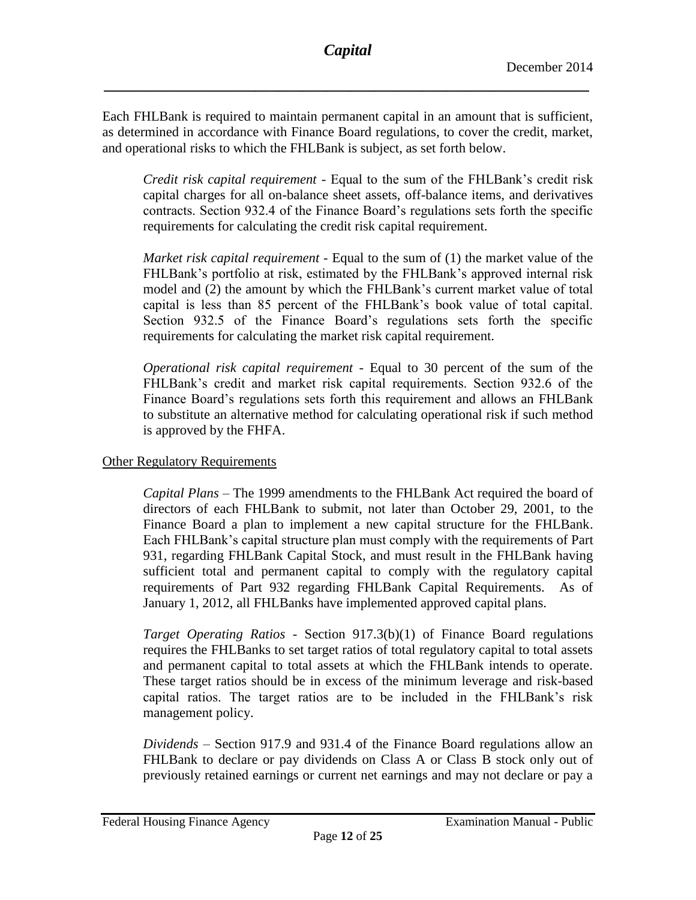Each FHLBank is required to maintain permanent capital in an amount that is sufficient, as determined in accordance with Finance Board regulations, to cover the credit, market, and operational risks to which the FHLBank is subject, as set forth below.

*Credit risk capital requirement* - Equal to the sum of the FHLBank's credit risk capital charges for all on-balance sheet assets, off-balance items, and derivatives contracts. Section 932.4 of the Finance Board's regulations sets forth the specific requirements for calculating the credit risk capital requirement.

*Market risk capital requirement -* Equal to the sum of (1) the market value of the FHLBank's portfolio at risk, estimated by the FHLBank's approved internal risk model and (2) the amount by which the FHLBank's current market value of total capital is less than 85 percent of the FHLBank's book value of total capital. Section 932.5 of the Finance Board's regulations sets forth the specific requirements for calculating the market risk capital requirement.

*Operational risk capital requirement* - Equal to 30 percent of the sum of the FHLBank's credit and market risk capital requirements. Section 932.6 of the Finance Board's regulations sets forth this requirement and allows an FHLBank to substitute an alternative method for calculating operational risk if such method is approved by the FHFA.

## Other Regulatory Requirements

*Capital Plans* – The 1999 amendments to the FHLBank Act required the board of directors of each FHLBank to submit, not later than October 29, 2001, to the Finance Board a plan to implement a new capital structure for the FHLBank. Each FHLBank's capital structure plan must comply with the requirements of Part 931, regarding FHLBank Capital Stock, and must result in the FHLBank having sufficient total and permanent capital to comply with the regulatory capital requirements of Part 932 regarding FHLBank Capital Requirements. As of January 1, 2012, all FHLBanks have implemented approved capital plans.

*Target Operating Ratios* - Section 917.3(b)(1) of Finance Board regulations requires the FHLBanks to set target ratios of total regulatory capital to total assets and permanent capital to total assets at which the FHLBank intends to operate. These target ratios should be in excess of the minimum leverage and risk-based capital ratios. The target ratios are to be included in the FHLBank's risk management policy.

*Dividends* – Section 917.9 and 931.4 of the Finance Board regulations allow an FHLBank to declare or pay dividends on Class A or Class B stock only out of previously retained earnings or current net earnings and may not declare or pay a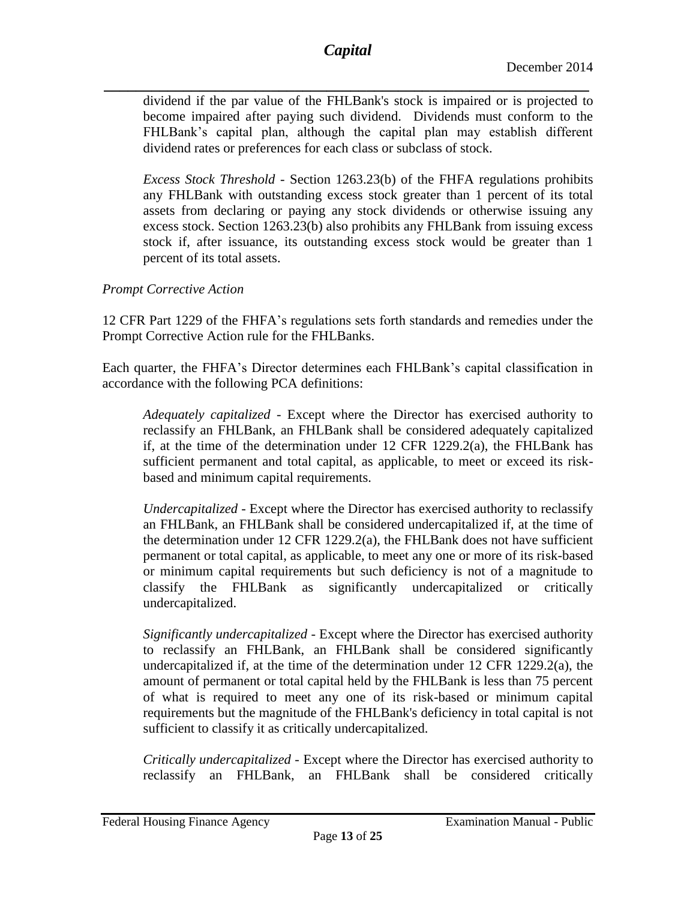*\_\_\_\_\_\_\_\_\_\_\_\_\_\_\_\_\_\_\_\_\_\_\_\_\_\_\_\_\_\_\_\_\_\_\_\_\_\_\_\_\_\_\_\_\_\_\_\_\_\_\_\_\_\_\_\_\_\_\_\_\_* dividend if the par value of the FHLBank's stock is impaired or is projected to become impaired after paying such dividend. Dividends must conform to the FHLBank's capital plan, although the capital plan may establish different dividend rates or preferences for each class or subclass of stock.

*Excess Stock Threshold* - Section 1263.23(b) of the FHFA regulations prohibits any FHLBank with outstanding excess stock greater than 1 percent of its total assets from declaring or paying any stock dividends or otherwise issuing any excess stock. Section 1263.23(b) also prohibits any FHLBank from issuing excess stock if, after issuance, its outstanding excess stock would be greater than 1 percent of its total assets.

# *Prompt Corrective Action*

12 CFR Part 1229 of the FHFA's regulations sets forth standards and remedies under the Prompt Corrective Action rule for the FHLBanks.

Each quarter, the FHFA's Director determines each FHLBank's capital classification in accordance with the following PCA definitions:

*Adequately capitalized* - Except where the Director has exercised authority to reclassify an FHLBank, an FHLBank shall be considered adequately capitalized if, at the time of the determination under 12 CFR 1229.2(a), the FHLBank has sufficient permanent and total capital, as applicable, to meet or exceed its riskbased and minimum capital requirements.

*Undercapitalized* - Except where the Director has exercised authority to reclassify an FHLBank, an FHLBank shall be considered undercapitalized if, at the time of the determination under 12 CFR 1229.2(a), the FHLBank does not have sufficient permanent or total capital, as applicable, to meet any one or more of its risk-based or minimum capital requirements but such deficiency is not of a magnitude to classify the FHLBank as significantly undercapitalized or critically undercapitalized.

*Significantly undercapitalized* - Except where the Director has exercised authority to reclassify an FHLBank, an FHLBank shall be considered significantly undercapitalized if, at the time of the determination under 12 CFR 1229.2(a), the amount of permanent or total capital held by the FHLBank is less than 75 percent of what is required to meet any one of its risk-based or minimum capital requirements but the magnitude of the FHLBank's deficiency in total capital is not sufficient to classify it as critically undercapitalized.

*Critically undercapitalized* - Except where the Director has exercised authority to reclassify an FHLBank, an FHLBank shall be considered critically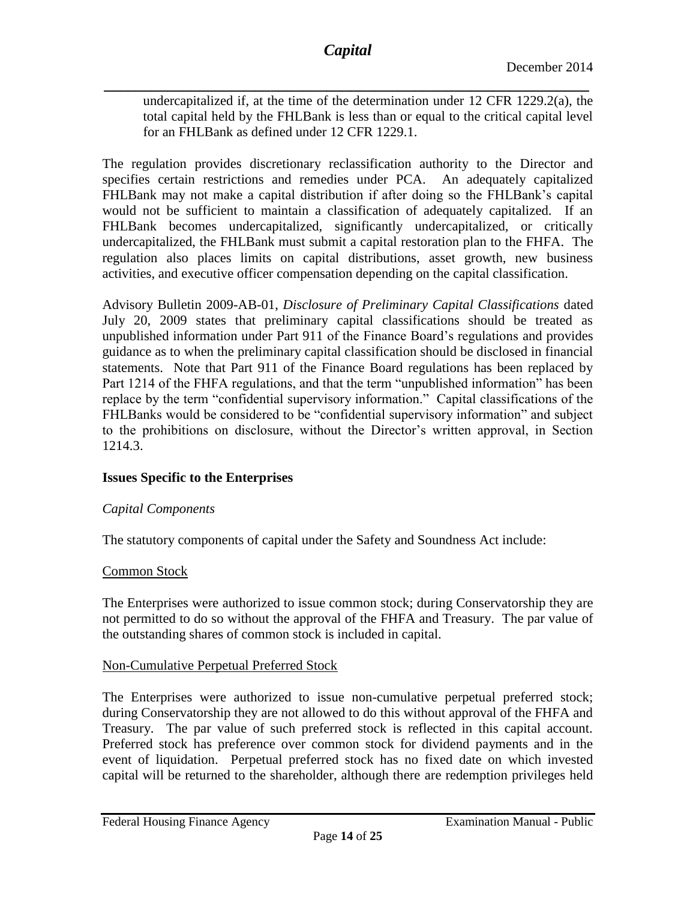*\_\_\_\_\_\_\_\_\_\_\_\_\_\_\_\_\_\_\_\_\_\_\_\_\_\_\_\_\_\_\_\_\_\_\_\_\_\_\_\_\_\_\_\_\_\_\_\_\_\_\_\_\_\_\_\_\_\_\_\_\_* undercapitalized if, at the time of the determination under 12 CFR 1229.2(a), the total capital held by the FHLBank is less than or equal to the critical capital level for an FHLBank as defined under 12 CFR 1229.1.

The regulation provides discretionary reclassification authority to the Director and specifies certain restrictions and remedies under PCA. An adequately capitalized FHLBank may not make a capital distribution if after doing so the FHLBank's capital would not be sufficient to maintain a classification of adequately capitalized. If an FHLBank becomes undercapitalized, significantly undercapitalized, or critically undercapitalized, the FHLBank must submit a capital restoration plan to the FHFA. The regulation also places limits on capital distributions, asset growth, new business activities, and executive officer compensation depending on the capital classification.

Advisory Bulletin 2009-AB-01, *Disclosure of Preliminary Capital Classifications* dated July 20, 2009 states that preliminary capital classifications should be treated as unpublished information under Part 911 of the Finance Board's regulations and provides guidance as to when the preliminary capital classification should be disclosed in financial statements. Note that Part 911 of the Finance Board regulations has been replaced by Part 1214 of the FHFA regulations, and that the term "unpublished information" has been replace by the term "confidential supervisory information." Capital classifications of the FHLBanks would be considered to be "confidential supervisory information" and subject to the prohibitions on disclosure, without the Director's written approval, in Section 1214.3.

#### **Issues Specific to the Enterprises**

#### *Capital Components*

The statutory components of capital under the Safety and Soundness Act include:

#### Common Stock

The Enterprises were authorized to issue common stock; during Conservatorship they are not permitted to do so without the approval of the FHFA and Treasury. The par value of the outstanding shares of common stock is included in capital.

#### Non-Cumulative Perpetual Preferred Stock

The Enterprises were authorized to issue non-cumulative perpetual preferred stock; during Conservatorship they are not allowed to do this without approval of the FHFA and Treasury. The par value of such preferred stock is reflected in this capital account. Preferred stock has preference over common stock for dividend payments and in the event of liquidation. Perpetual preferred stock has no fixed date on which invested capital will be returned to the shareholder, although there are redemption privileges held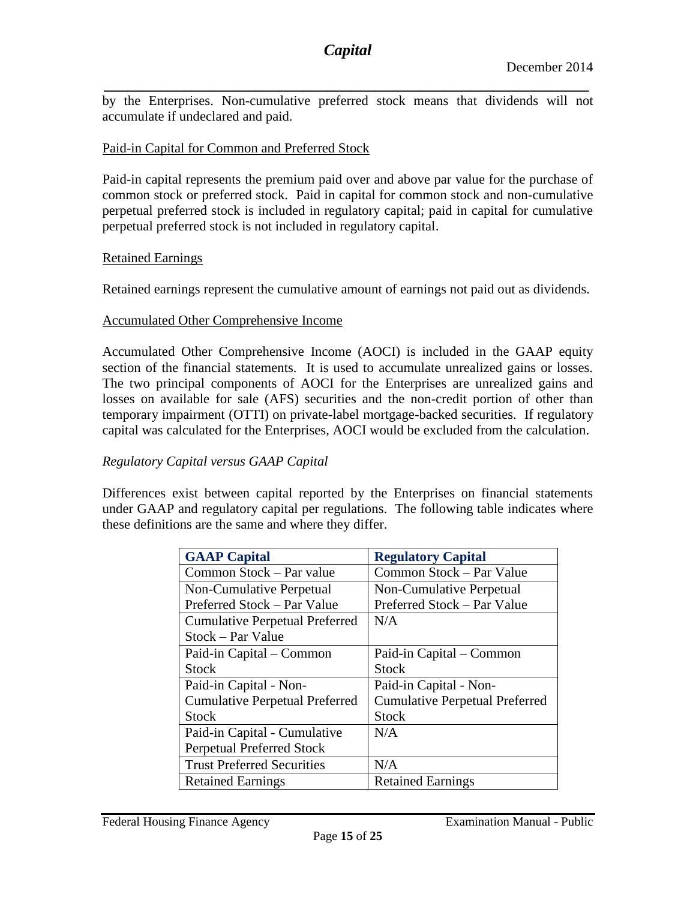*\_\_\_\_\_\_\_\_\_\_\_\_\_\_\_\_\_\_\_\_\_\_\_\_\_\_\_\_\_\_\_\_\_\_\_\_\_\_\_\_\_\_\_\_\_\_\_\_\_\_\_\_\_\_\_\_\_\_\_\_\_* by the Enterprises. Non-cumulative preferred stock means that dividends will not accumulate if undeclared and paid.

#### Paid-in Capital for Common and Preferred Stock

Paid-in capital represents the premium paid over and above par value for the purchase of common stock or preferred stock. Paid in capital for common stock and non-cumulative perpetual preferred stock is included in regulatory capital; paid in capital for cumulative perpetual preferred stock is not included in regulatory capital.

#### Retained Earnings

Retained earnings represent the cumulative amount of earnings not paid out as dividends.

#### Accumulated Other Comprehensive Income

Accumulated Other Comprehensive Income (AOCI) is included in the GAAP equity section of the financial statements. It is used to accumulate unrealized gains or losses. The two principal components of AOCI for the Enterprises are unrealized gains and losses on available for sale (AFS) securities and the non-credit portion of other than temporary impairment (OTTI) on private-label mortgage-backed securities. If regulatory capital was calculated for the Enterprises, AOCI would be excluded from the calculation.

#### *Regulatory Capital versus GAAP Capital*

Differences exist between capital reported by the Enterprises on financial statements under GAAP and regulatory capital per regulations. The following table indicates where these definitions are the same and where they differ.

| <b>GAAP Capital</b>                   | <b>Regulatory Capital</b>             |
|---------------------------------------|---------------------------------------|
| Common Stock – Par value              | Common Stock – Par Value              |
| Non-Cumulative Perpetual              | Non-Cumulative Perpetual              |
| Preferred Stock – Par Value           | Preferred Stock – Par Value           |
| <b>Cumulative Perpetual Preferred</b> | N/A                                   |
| Stock – Par Value                     |                                       |
| Paid-in Capital – Common              | Paid-in Capital – Common              |
| <b>Stock</b>                          | <b>Stock</b>                          |
| Paid-in Capital - Non-                | Paid-in Capital - Non-                |
| <b>Cumulative Perpetual Preferred</b> | <b>Cumulative Perpetual Preferred</b> |
| <b>Stock</b>                          | <b>Stock</b>                          |
| Paid-in Capital - Cumulative          | N/A                                   |
| <b>Perpetual Preferred Stock</b>      |                                       |
| <b>Trust Preferred Securities</b>     | N/A                                   |
| <b>Retained Earnings</b>              | <b>Retained Earnings</b>              |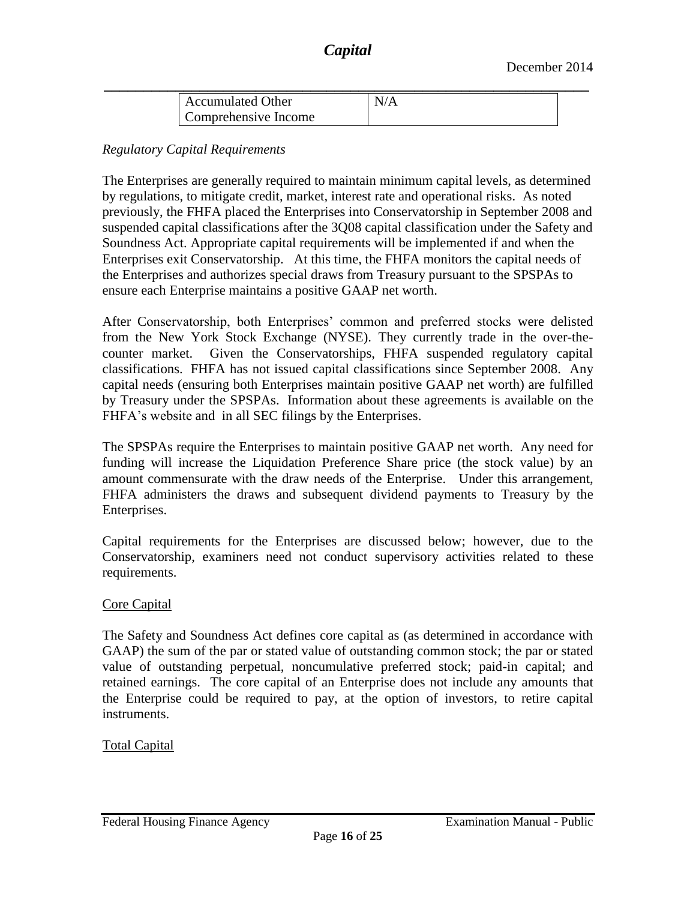| <b>Accumulated Other</b> | N/A |  |
|--------------------------|-----|--|
| Comprehensive Income     |     |  |

#### *Regulatory Capital Requirements*

The Enterprises are generally required to maintain minimum capital levels, as determined by regulations, to mitigate credit, market, interest rate and operational risks. As noted previously, the FHFA placed the Enterprises into Conservatorship in September 2008 and suspended capital classifications after the 3Q08 capital classification under the Safety and Soundness Act. Appropriate capital requirements will be implemented if and when the Enterprises exit Conservatorship. At this time, the FHFA monitors the capital needs of the Enterprises and authorizes special draws from Treasury pursuant to the SPSPAs to ensure each Enterprise maintains a positive GAAP net worth.

After Conservatorship, both Enterprises' common and preferred stocks were delisted from the New York Stock Exchange (NYSE). They currently trade in the over-thecounter market. Given the Conservatorships, FHFA suspended regulatory capital classifications. FHFA has not issued capital classifications since September 2008. Any capital needs (ensuring both Enterprises maintain positive GAAP net worth) are fulfilled by Treasury under the SPSPAs. Information about these agreements is available on the FHFA's website and in all SEC filings by the Enterprises.

The SPSPAs require the Enterprises to maintain positive GAAP net worth. Any need for funding will increase the Liquidation Preference Share price (the stock value) by an amount commensurate with the draw needs of the Enterprise. Under this arrangement, FHFA administers the draws and subsequent dividend payments to Treasury by the Enterprises.

Capital requirements for the Enterprises are discussed below; however, due to the Conservatorship, examiners need not conduct supervisory activities related to these requirements.

#### Core Capital

The Safety and Soundness Act defines core capital as (as determined in accordance with GAAP) the sum of the par or stated value of outstanding common stock; the par or stated value of outstanding perpetual, noncumulative preferred stock; paid-in capital; and retained earnings. The core capital of an Enterprise does not include any amounts that the Enterprise could be required to pay, at the option of investors, to retire capital instruments.

Total Capital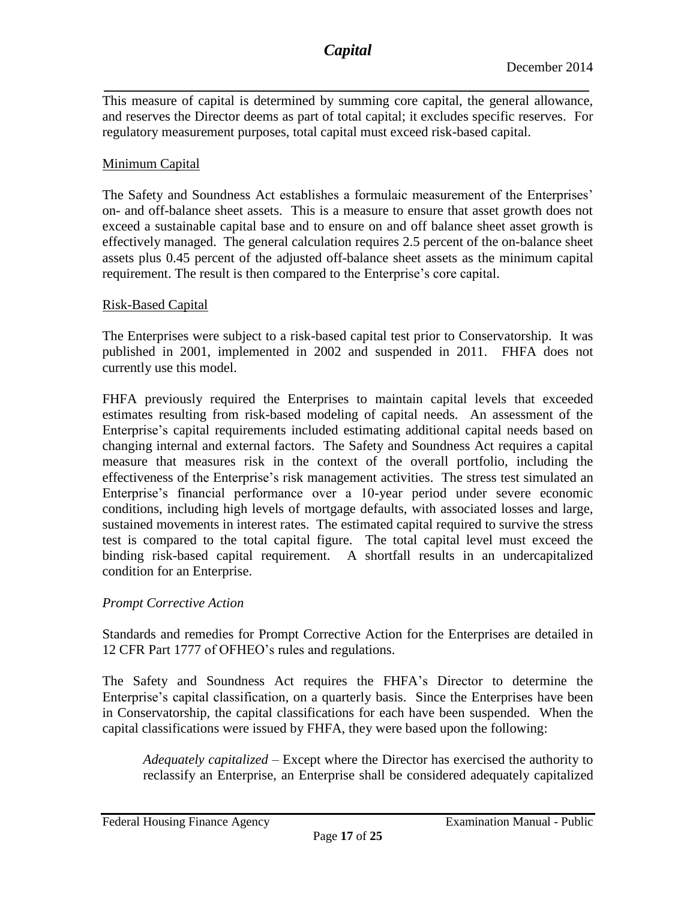*\_\_\_\_\_\_\_\_\_\_\_\_\_\_\_\_\_\_\_\_\_\_\_\_\_\_\_\_\_\_\_\_\_\_\_\_\_\_\_\_\_\_\_\_\_\_\_\_\_\_\_\_\_\_\_\_\_\_\_\_\_* This measure of capital is determined by summing core capital, the general allowance, and reserves the Director deems as part of total capital; it excludes specific reserves. For regulatory measurement purposes, total capital must exceed risk-based capital.

## Minimum Capital

The Safety and Soundness Act establishes a formulaic measurement of the Enterprises' on- and off-balance sheet assets. This is a measure to ensure that asset growth does not exceed a sustainable capital base and to ensure on and off balance sheet asset growth is effectively managed. The general calculation requires 2.5 percent of the on-balance sheet assets plus 0.45 percent of the adjusted off-balance sheet assets as the minimum capital requirement. The result is then compared to the Enterprise's core capital.

## Risk-Based Capital

The Enterprises were subject to a risk-based capital test prior to Conservatorship. It was published in 2001, implemented in 2002 and suspended in 2011. FHFA does not currently use this model.

FHFA previously required the Enterprises to maintain capital levels that exceeded estimates resulting from risk-based modeling of capital needs. An assessment of the Enterprise's capital requirements included estimating additional capital needs based on changing internal and external factors. The Safety and Soundness Act requires a capital measure that measures risk in the context of the overall portfolio, including the effectiveness of the Enterprise's risk management activities. The stress test simulated an Enterprise's financial performance over a 10-year period under severe economic conditions, including high levels of mortgage defaults, with associated losses and large, sustained movements in interest rates. The estimated capital required to survive the stress test is compared to the total capital figure. The total capital level must exceed the binding risk-based capital requirement. A shortfall results in an undercapitalized condition for an Enterprise.

#### *Prompt Corrective Action*

Standards and remedies for Prompt Corrective Action for the Enterprises are detailed in 12 CFR Part 1777 of OFHEO's rules and regulations.

The Safety and Soundness Act requires the FHFA's Director to determine the Enterprise's capital classification, on a quarterly basis. Since the Enterprises have been in Conservatorship, the capital classifications for each have been suspended. When the capital classifications were issued by FHFA, they were based upon the following:

*Adequately capitalized –* Except where the Director has exercised the authority to reclassify an Enterprise, an Enterprise shall be considered adequately capitalized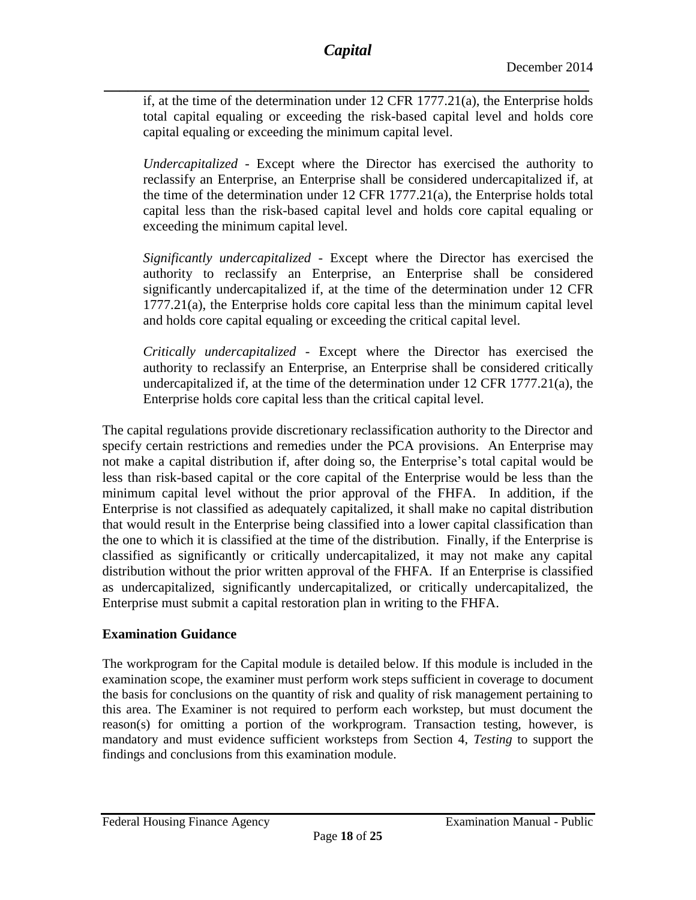*\_\_\_\_\_\_\_\_\_\_\_\_\_\_\_\_\_\_\_\_\_\_\_\_\_\_\_\_\_\_\_\_\_\_\_\_\_\_\_\_\_\_\_\_\_\_\_\_\_\_\_\_\_\_\_\_\_\_\_\_\_* if, at the time of the determination under 12 CFR 1777.21(a), the Enterprise holds total capital equaling or exceeding the risk-based capital level and holds core capital equaling or exceeding the minimum capital level.

*Undercapitalized* - Except where the Director has exercised the authority to reclassify an Enterprise, an Enterprise shall be considered undercapitalized if, at the time of the determination under 12 CFR 1777.21(a), the Enterprise holds total capital less than the risk-based capital level and holds core capital equaling or exceeding the minimum capital level.

*Significantly undercapitalized -* Except where the Director has exercised the authority to reclassify an Enterprise, an Enterprise shall be considered significantly undercapitalized if, at the time of the determination under 12 CFR 1777.21(a), the Enterprise holds core capital less than the minimum capital level and holds core capital equaling or exceeding the critical capital level.

*Critically undercapitalized -* Except where the Director has exercised the authority to reclassify an Enterprise, an Enterprise shall be considered critically undercapitalized if, at the time of the determination under 12 CFR 1777.21(a), the Enterprise holds core capital less than the critical capital level.

The capital regulations provide discretionary reclassification authority to the Director and specify certain restrictions and remedies under the PCA provisions. An Enterprise may not make a capital distribution if, after doing so, the Enterprise's total capital would be less than risk-based capital or the core capital of the Enterprise would be less than the minimum capital level without the prior approval of the FHFA. In addition, if the Enterprise is not classified as adequately capitalized, it shall make no capital distribution that would result in the Enterprise being classified into a lower capital classification than the one to which it is classified at the time of the distribution. Finally, if the Enterprise is classified as significantly or critically undercapitalized, it may not make any capital distribution without the prior written approval of the FHFA. If an Enterprise is classified as undercapitalized, significantly undercapitalized, or critically undercapitalized, the Enterprise must submit a capital restoration plan in writing to the FHFA.

# **Examination Guidance**

The workprogram for the Capital module is detailed below. If this module is included in the examination scope, the examiner must perform work steps sufficient in coverage to document the basis for conclusions on the quantity of risk and quality of risk management pertaining to this area. The Examiner is not required to perform each workstep, but must document the reason(s) for omitting a portion of the workprogram. Transaction testing, however, is mandatory and must evidence sufficient worksteps from Section 4, *Testing* to support the findings and conclusions from this examination module.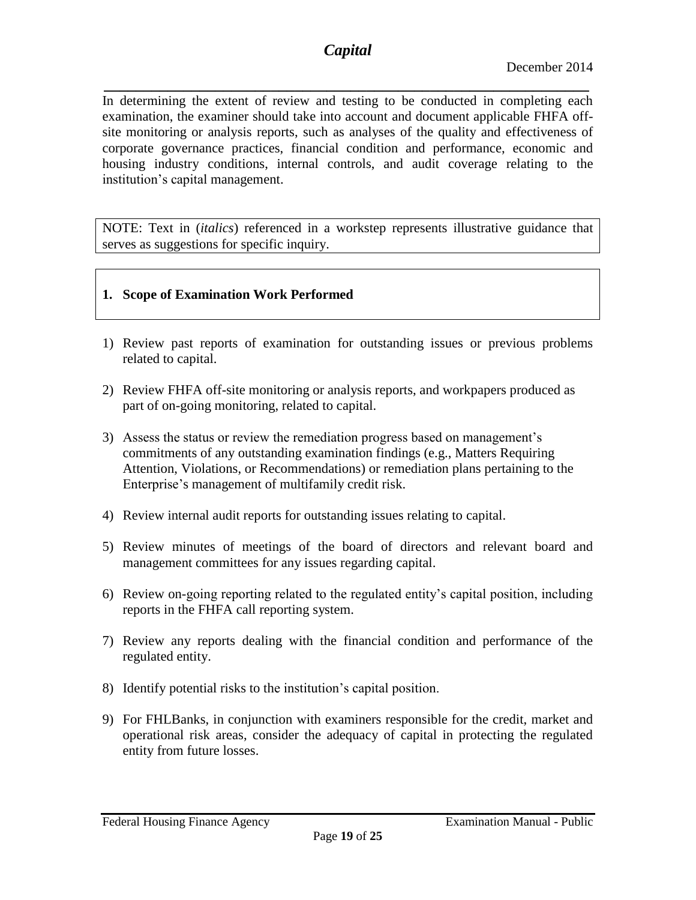# *Capital*

*\_\_\_\_\_\_\_\_\_\_\_\_\_\_\_\_\_\_\_\_\_\_\_\_\_\_\_\_\_\_\_\_\_\_\_\_\_\_\_\_\_\_\_\_\_\_\_\_\_\_\_\_\_\_\_\_\_\_\_\_\_* In determining the extent of review and testing to be conducted in completing each examination, the examiner should take into account and document applicable FHFA offsite monitoring or analysis reports, such as analyses of the quality and effectiveness of corporate governance practices, financial condition and performance, economic and housing industry conditions, internal controls, and audit coverage relating to the institution's capital management.

NOTE: Text in (*italics*) referenced in a workstep represents illustrative guidance that serves as suggestions for specific inquiry.

## **1. Scope of Examination Work Performed**

- 1) Review past reports of examination for outstanding issues or previous problems related to capital.
- 2) Review FHFA off-site monitoring or analysis reports, and workpapers produced as part of on-going monitoring, related to capital.
- 3) Assess the status or review the remediation progress based on management's commitments of any outstanding examination findings (e.g., Matters Requiring Attention, Violations, or Recommendations) or remediation plans pertaining to the Enterprise's management of multifamily credit risk.
- 4) Review internal audit reports for outstanding issues relating to capital.
- 5) Review minutes of meetings of the board of directors and relevant board and management committees for any issues regarding capital.
- 6) Review on-going reporting related to the regulated entity's capital position, including reports in the FHFA call reporting system.
- 7) Review any reports dealing with the financial condition and performance of the regulated entity.
- 8) Identify potential risks to the institution's capital position.
- 9) For FHLBanks, in conjunction with examiners responsible for the credit, market and operational risk areas, consider the adequacy of capital in protecting the regulated entity from future losses.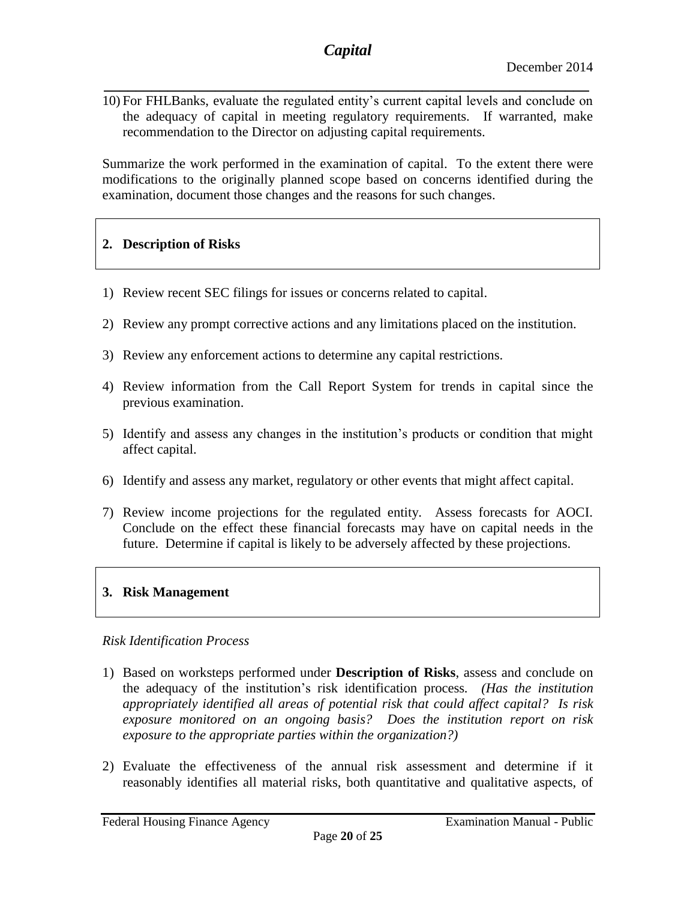*\_\_\_\_\_\_\_\_\_\_\_\_\_\_\_\_\_\_\_\_\_\_\_\_\_\_\_\_\_\_\_\_\_\_\_\_\_\_\_\_\_\_\_\_\_\_\_\_\_\_\_\_\_\_\_\_\_\_\_\_\_* 10) For FHLBanks, evaluate the regulated entity's current capital levels and conclude on the adequacy of capital in meeting regulatory requirements. If warranted, make recommendation to the Director on adjusting capital requirements.

Summarize the work performed in the examination of capital. To the extent there were modifications to the originally planned scope based on concerns identified during the examination, document those changes and the reasons for such changes.

## **2. Description of Risks**

- 1) Review recent SEC filings for issues or concerns related to capital.
- 2) Review any prompt corrective actions and any limitations placed on the institution.
- 3) Review any enforcement actions to determine any capital restrictions.
- 4) Review information from the Call Report System for trends in capital since the previous examination.
- 5) Identify and assess any changes in the institution's products or condition that might affect capital.
- 6) Identify and assess any market, regulatory or other events that might affect capital.
- 7) Review income projections for the regulated entity. Assess forecasts for AOCI. Conclude on the effect these financial forecasts may have on capital needs in the future. Determine if capital is likely to be adversely affected by these projections.

## **3. Risk Management**

#### *Risk Identification Process*

- 1) Based on worksteps performed under **Description of Risks**, assess and conclude on the adequacy of the institution's risk identification process*. (Has the institution appropriately identified all areas of potential risk that could affect capital? Is risk exposure monitored on an ongoing basis? Does the institution report on risk exposure to the appropriate parties within the organization?)*
- 2) Evaluate the effectiveness of the annual risk assessment and determine if it reasonably identifies all material risks, both quantitative and qualitative aspects, of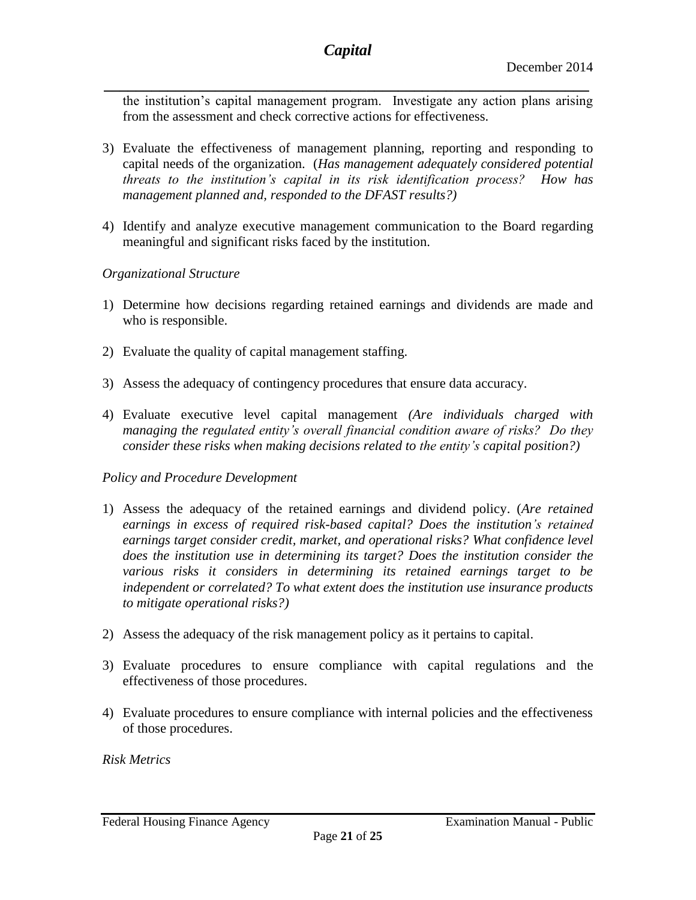the institution's capital management program. Investigate any action plans arising from the assessment and check corrective actions for effectiveness.

- 3) Evaluate the effectiveness of management planning, reporting and responding to capital needs of the organization. (*Has management adequately considered potential threats to the institution's capital in its risk identification process? How has management planned and, responded to the DFAST results?)*
- 4) Identify and analyze executive management communication to the Board regarding meaningful and significant risks faced by the institution.

#### *Organizational Structure*

- 1) Determine how decisions regarding retained earnings and dividends are made and who is responsible.
- 2) Evaluate the quality of capital management staffing.
- 3) Assess the adequacy of contingency procedures that ensure data accuracy.
- 4) Evaluate executive level capital management *(Are individuals charged with managing the regulated entity's overall financial condition aware of risks? Do they consider these risks when making decisions related to the entity's capital position?)*

#### *Policy and Procedure Development*

- 1) Assess the adequacy of the retained earnings and dividend policy. (*Are retained earnings in excess of required risk-based capital? Does the institution's retained earnings target consider credit, market, and operational risks? What confidence level does the institution use in determining its target? Does the institution consider the various risks it considers in determining its retained earnings target to be independent or correlated? To what extent does the institution use insurance products to mitigate operational risks?)*
- 2) Assess the adequacy of the risk management policy as it pertains to capital.
- 3) Evaluate procedures to ensure compliance with capital regulations and the effectiveness of those procedures.
- 4) Evaluate procedures to ensure compliance with internal policies and the effectiveness of those procedures.

#### *Risk Metrics*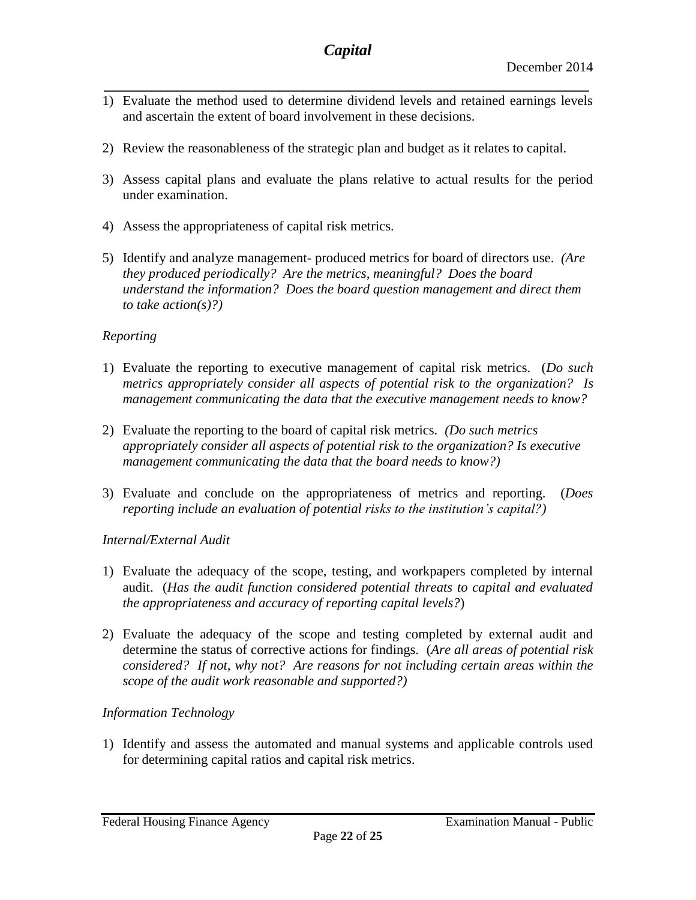- *\_\_\_\_\_\_\_\_\_\_\_\_\_\_\_\_\_\_\_\_\_\_\_\_\_\_\_\_\_\_\_\_\_\_\_\_\_\_\_\_\_\_\_\_\_\_\_\_\_\_\_\_\_\_\_\_\_\_\_\_\_* 1) Evaluate the method used to determine dividend levels and retained earnings levels and ascertain the extent of board involvement in these decisions.
- 2) Review the reasonableness of the strategic plan and budget as it relates to capital.
- 3) Assess capital plans and evaluate the plans relative to actual results for the period under examination.
- 4) Assess the appropriateness of capital risk metrics.
- 5) Identify and analyze management- produced metrics for board of directors use. *(Are they produced periodically? Are the metrics, meaningful? Does the board understand the information? Does the board question management and direct them to take action(s)?)*

## *Reporting*

- 1) Evaluate the reporting to executive management of capital risk metrics. (*Do such metrics appropriately consider all aspects of potential risk to the organization? Is management communicating the data that the executive management needs to know?*
- 2) Evaluate the reporting to the board of capital risk metrics. *(Do such metrics appropriately consider all aspects of potential risk to the organization? Is executive management communicating the data that the board needs to know?)*
- 3) Evaluate and conclude on the appropriateness of metrics and reporting. (*Does reporting include an evaluation of potential risks to the institution's capital?)*

#### *Internal/External Audit*

- 1) Evaluate the adequacy of the scope, testing, and workpapers completed by internal audit. (*Has the audit function considered potential threats to capital and evaluated the appropriateness and accuracy of reporting capital levels?*)
- 2) Evaluate the adequacy of the scope and testing completed by external audit and determine the status of corrective actions for findings. (*Are all areas of potential risk considered? If not, why not? Are reasons for not including certain areas within the scope of the audit work reasonable and supported?)*

## *Information Technology*

1) Identify and assess the automated and manual systems and applicable controls used for determining capital ratios and capital risk metrics.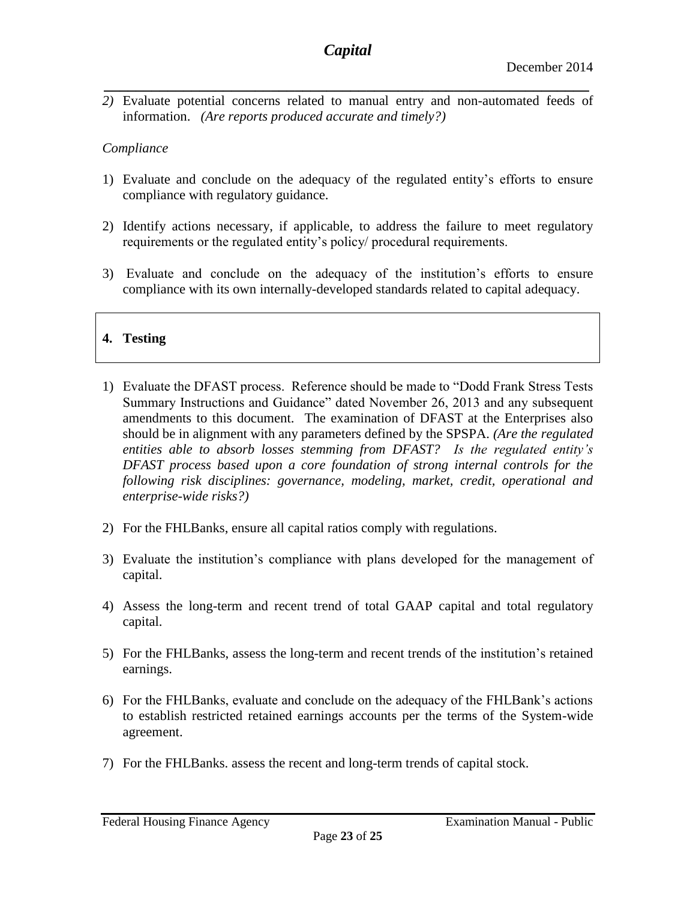*2)* Evaluate potential concerns related to manual entry and non-automated feeds of information. *(Are reports produced accurate and timely?)*

*\_\_\_\_\_\_\_\_\_\_\_\_\_\_\_\_\_\_\_\_\_\_\_\_\_\_\_\_\_\_\_\_\_\_\_\_\_\_\_\_\_\_\_\_\_\_\_\_\_\_\_\_\_\_\_\_\_\_\_\_\_*

## *Compliance*

- 1) Evaluate and conclude on the adequacy of the regulated entity's efforts to ensure compliance with regulatory guidance.
- 2) Identify actions necessary, if applicable, to address the failure to meet regulatory requirements or the regulated entity's policy/ procedural requirements.
- 3) Evaluate and conclude on the adequacy of the institution's efforts to ensure compliance with its own internally-developed standards related to capital adequacy.

# **4. Testing**

- 1) Evaluate the DFAST process. Reference should be made to "Dodd Frank Stress Tests Summary Instructions and Guidance" dated November 26, 2013 and any subsequent amendments to this document. The examination of DFAST at the Enterprises also should be in alignment with any parameters defined by the SPSPA. *(Are the regulated entities able to absorb losses stemming from DFAST? Is the regulated entity's DFAST process based upon a core foundation of strong internal controls for the following risk disciplines: governance, modeling, market, credit, operational and enterprise-wide risks?)*
- 2) For the FHLBanks, ensure all capital ratios comply with regulations.
- 3) Evaluate the institution's compliance with plans developed for the management of capital.
- 4) Assess the long-term and recent trend of total GAAP capital and total regulatory capital.
- 5) For the FHLBanks, assess the long-term and recent trends of the institution's retained earnings.
- 6) For the FHLBanks, evaluate and conclude on the adequacy of the FHLBank's actions to establish restricted retained earnings accounts per the terms of the System-wide agreement.
- 7) For the FHLBanks. assess the recent and long-term trends of capital stock.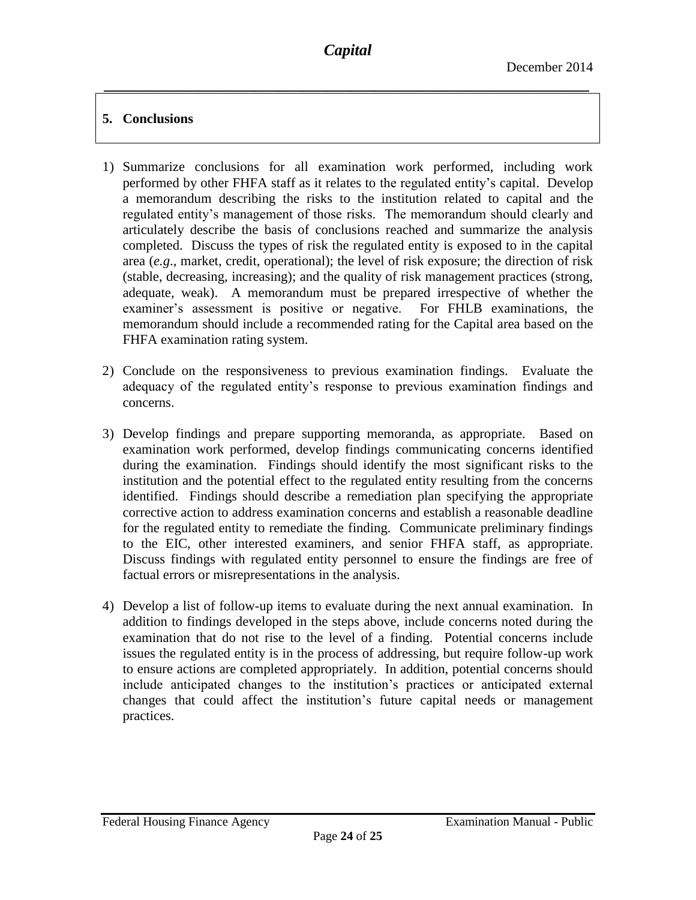# **5. Conclusions**

- 1) Summarize conclusions for all examination work performed, including work performed by other FHFA staff as it relates to the regulated entity's capital. Develop a memorandum describing the risks to the institution related to capital and the regulated entity's management of those risks. The memorandum should clearly and articulately describe the basis of conclusions reached and summarize the analysis completed. Discuss the types of risk the regulated entity is exposed to in the capital area (*e.g*., market, credit, operational); the level of risk exposure; the direction of risk (stable, decreasing, increasing); and the quality of risk management practices (strong, adequate, weak). A memorandum must be prepared irrespective of whether the examiner's assessment is positive or negative. For FHLB examinations, the memorandum should include a recommended rating for the Capital area based on the FHFA examination rating system.
- 2) Conclude on the responsiveness to previous examination findings. Evaluate the adequacy of the regulated entity's response to previous examination findings and concerns.
- 3) Develop findings and prepare supporting memoranda, as appropriate. Based on examination work performed, develop findings communicating concerns identified during the examination. Findings should identify the most significant risks to the institution and the potential effect to the regulated entity resulting from the concerns identified. Findings should describe a remediation plan specifying the appropriate corrective action to address examination concerns and establish a reasonable deadline for the regulated entity to remediate the finding. Communicate preliminary findings to the EIC, other interested examiners, and senior FHFA staff, as appropriate. Discuss findings with regulated entity personnel to ensure the findings are free of factual errors or misrepresentations in the analysis.
- 4) Develop a list of follow-up items to evaluate during the next annual examination. In addition to findings developed in the steps above, include concerns noted during the examination that do not rise to the level of a finding. Potential concerns include issues the regulated entity is in the process of addressing, but require follow-up work to ensure actions are completed appropriately. In addition, potential concerns should include anticipated changes to the institution's practices or anticipated external changes that could affect the institution's future capital needs or management practices.